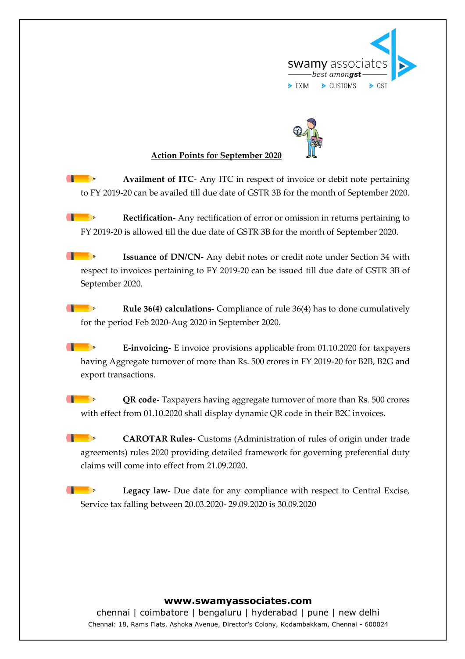



## **Action Points for September 2020**

 $\blacksquare$ **Availment of ITC**- Any ITC in respect of invoice or debit note pertaining to FY 2019-20 can be availed till due date of GSTR 3B for the month of September 2020.

- **Rectification**- Any rectification of error or omission in returns pertaining to FY 2019-20 is allowed till the due date of GSTR 3B for the month of September 2020.
- $\begin{array}{c} \begin{array}{ccc} \end{array} \end{array}$ **Issuance of DN/CN-** Any debit notes or credit note under Section 34 with respect to invoices pertaining to FY 2019-20 can be issued till due date of GSTR 3B of September 2020.
- $\blacksquare$ **Rule 36(4) calculations-** Compliance of rule 36(4) has to done cumulatively for the period Feb 2020-Aug 2020 in September 2020.
- $\blacksquare$ **E-invoicing-** E invoice provisions applicable from 01.10.2020 for taxpayers having Aggregate turnover of more than Rs. 500 crores in FY 2019-20 for B2B, B2G and export transactions.
- $\begin{array}{c} \begin{array}{ccc} \end{array} \end{array}$ **QR code-** Taxpayers having aggregate turnover of more than Rs. 500 crores with effect from 01.10.2020 shall display dynamic QR code in their B2C invoices.
- $\blacksquare$ **CAROTAR Rules-** Customs (Administration of rules of origin under trade agreements) rules 2020 providing detailed framework for governing preferential duty claims will come into effect from 21.09.2020.
- $\blacksquare$ **Legacy law-** Due date for any compliance with respect to Central Excise, Service tax falling between 20.03.2020- 29.09.2020 is 30.09.2020

## **www.swamyassociates.com**

chennai | coimbatore | bengaluru | hyderabad | pune | new delhi Chennai: 18, Rams Flats, Ashoka Avenue, Director's Colony, Kodambakkam, Chennai - 600024